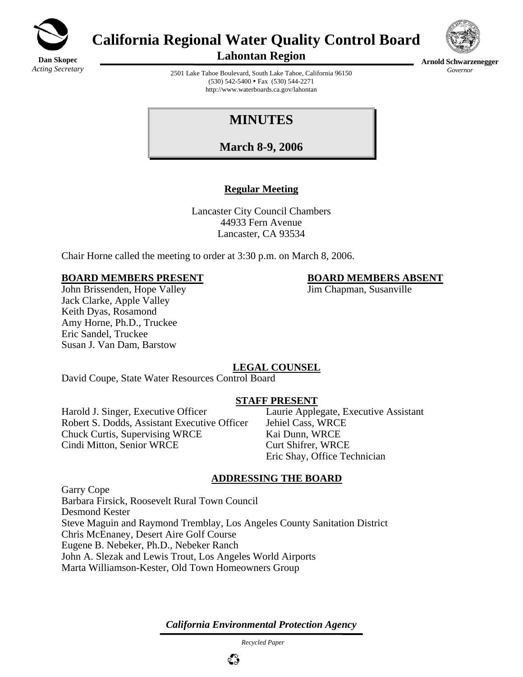

# **California Regional Water Quality Control Board**



**Lahontan Region** 

**Arnold Schwarzenegger** *Governor* 

2501 Lake Tahoe Boulevard, South Lake Tahoe, California 96150  $(530)$  542-5400 • Fax  $(530)$  544-2271 http://www.waterboards.ca.gov/lahontan

## **MINUTES**

**March 8-9, 2006**

#### **Regular Meeting**

Lancaster City Council Chambers 44933 Fern Avenue Lancaster, CA 93534

Chair Horne called the meeting to order at 3:30 p.m. on March 8, 2006.

#### **BOARD MEMBERS PRESENT BOARD MEMBERS ABSENT**

John Brissenden, Hope Valley **Jim Chapman, Susanville** Jack Clarke, Apple Valley Keith Dyas, Rosamond Amy Horne, Ph.D., Truckee Eric Sandel, Truckee Susan J. Van Dam, Barstow

### **LEGAL COUNSEL**

David Coupe, State Water Resources Control Board

#### **STAFF PRESENT**

Harold J. Singer, Executive Officer Laurie Applegate, Executive Assistant Robert S. Dodds, Assistant Executive Officer Jehiel Cass, WRCE Chuck Curtis, Supervising WRCE Kai Dunn, WRCE Cindi Mitton, Senior WRCE Curt Shifrer, WRCE

Eric Shay, Office Technician

#### **ADDRESSING THE BOARD**

Garry Cope Barbara Firsick, Roosevelt Rural Town Council Desmond Kester Steve Maguin and Raymond Tremblay, Los Angeles County Sanitation District Chris McEnaney, Desert Aire Golf Course Eugene B. Nebeker, Ph.D., Nebeker Ranch John A. Slezak and Lewis Trout, Los Angeles World Airports Marta Williamson-Kester, Old Town Homeowners Group

*California Environmental Protection Agency*

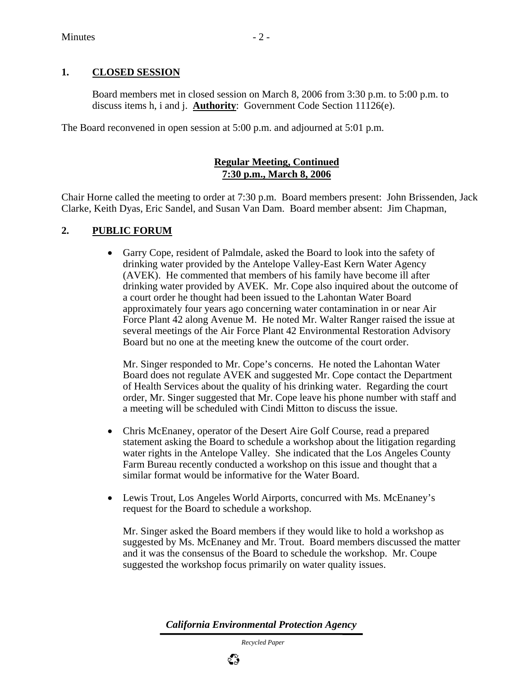#### **1. CLOSED SESSION**

Board members met in closed session on March 8, 2006 from 3:30 p.m. to 5:00 p.m. to discuss items h, i and j. **Authority**: Government Code Section 11126(e).

The Board reconvened in open session at 5:00 p.m. and adjourned at 5:01 p.m.

#### **Regular Meeting, Continued 7:30 p.m., March 8, 2006**

Chair Horne called the meeting to order at 7:30 p.m. Board members present: John Brissenden, Jack Clarke, Keith Dyas, Eric Sandel, and Susan Van Dam. Board member absent: Jim Chapman,

#### **2. PUBLIC FORUM**

• Garry Cope, resident of Palmdale, asked the Board to look into the safety of drinking water provided by the Antelope Valley-East Kern Water Agency (AVEK). He commented that members of his family have become ill after drinking water provided by AVEK. Mr. Cope also inquired about the outcome of a court order he thought had been issued to the Lahontan Water Board approximately four years ago concerning water contamination in or near Air Force Plant 42 along Avenue M. He noted Mr. Walter Ranger raised the issue at several meetings of the Air Force Plant 42 Environmental Restoration Advisory Board but no one at the meeting knew the outcome of the court order.

Mr. Singer responded to Mr. Cope's concerns. He noted the Lahontan Water Board does not regulate AVEK and suggested Mr. Cope contact the Department of Health Services about the quality of his drinking water. Regarding the court order, Mr. Singer suggested that Mr. Cope leave his phone number with staff and a meeting will be scheduled with Cindi Mitton to discuss the issue.

- Chris McEnaney, operator of the Desert Aire Golf Course, read a prepared statement asking the Board to schedule a workshop about the litigation regarding water rights in the Antelope Valley. She indicated that the Los Angeles County Farm Bureau recently conducted a workshop on this issue and thought that a similar format would be informative for the Water Board.
- Lewis Trout, Los Angeles World Airports, concurred with Ms. McEnaney's request for the Board to schedule a workshop.

Mr. Singer asked the Board members if they would like to hold a workshop as suggested by Ms. McEnaney and Mr. Trout. Board members discussed the matter and it was the consensus of the Board to schedule the workshop. Mr. Coupe suggested the workshop focus primarily on water quality issues.

*California Environmental Protection Agency*

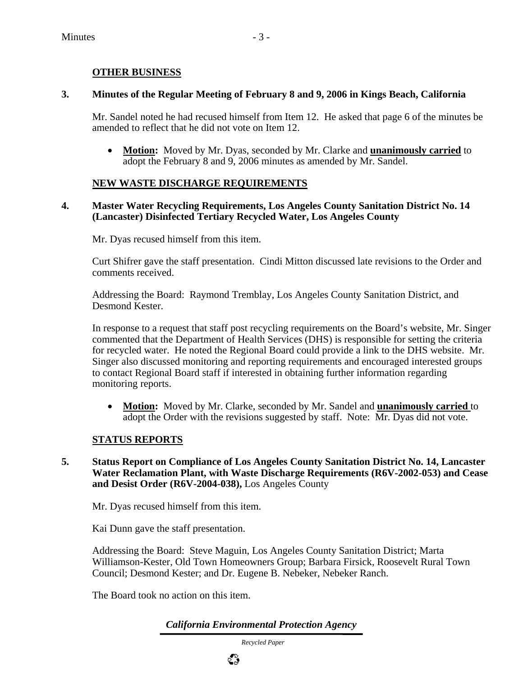#### **OTHER BUSINESS**

#### **3. Minutes of the Regular Meeting of February 8 and 9, 2006 in Kings Beach, California**

Mr. Sandel noted he had recused himself from Item 12. He asked that page 6 of the minutes be amended to reflect that he did not vote on Item 12.

• **Motion:** Moved by Mr. Dyas, seconded by Mr. Clarke and **unanimously carried** to adopt the February 8 and 9, 2006 minutes as amended by Mr. Sandel.

#### **NEW WASTE DISCHARGE REQUIREMENTS**

#### **4. Master Water Recycling Requirements, Los Angeles County Sanitation District No. 14 (Lancaster) Disinfected Tertiary Recycled Water, Los Angeles County**

Mr. Dyas recused himself from this item.

Curt Shifrer gave the staff presentation. Cindi Mitton discussed late revisions to the Order and comments received.

Addressing the Board: Raymond Tremblay, Los Angeles County Sanitation District, and Desmond Kester.

In response to a request that staff post recycling requirements on the Board's website, Mr. Singer commented that the Department of Health Services (DHS) is responsible for setting the criteria for recycled water. He noted the Regional Board could provide a link to the DHS website. Mr. Singer also discussed monitoring and reporting requirements and encouraged interested groups to contact Regional Board staff if interested in obtaining further information regarding monitoring reports.

• **Motion:** Moved by Mr. Clarke, seconded by Mr. Sandel and **unanimously carried** to adopt the Order with the revisions suggested by staff. Note: Mr. Dyas did not vote.

#### **STATUS REPORTS**

**5. Status Report on Compliance of Los Angeles County Sanitation District No. 14, Lancaster Water Reclamation Plant, with Waste Discharge Requirements (R6V-2002-053) and Cease and Desist Order (R6V-2004-038),** Los Angeles County

Mr. Dyas recused himself from this item.

Kai Dunn gave the staff presentation.

Addressing the Board: Steve Maguin, Los Angeles County Sanitation District; Marta Williamson-Kester, Old Town Homeowners Group; Barbara Firsick, Roosevelt Rural Town Council; Desmond Kester; and Dr. Eugene B. Nebeker, Nebeker Ranch.

The Board took no action on this item.

*California Environmental Protection Agency*

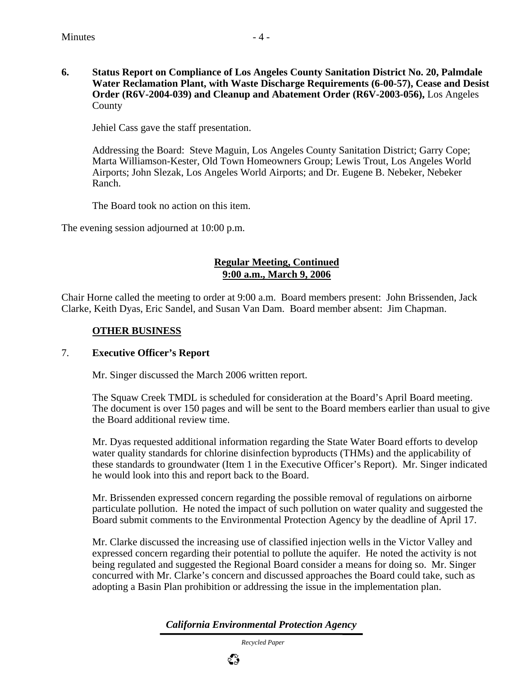**6. Status Report on Compliance of Los Angeles County Sanitation District No. 20, Palmdale Water Reclamation Plant, with Waste Discharge Requirements (6-00-57), Cease and Desist Order (R6V-2004-039) and Cleanup and Abatement Order (R6V-2003-056),** Los Angeles County

Jehiel Cass gave the staff presentation.

Addressing the Board: Steve Maguin, Los Angeles County Sanitation District; Garry Cope; Marta Williamson-Kester, Old Town Homeowners Group; Lewis Trout, Los Angeles World Airports; John Slezak, Los Angeles World Airports; and Dr. Eugene B. Nebeker, Nebeker Ranch.

The Board took no action on this item.

The evening session adjourned at 10:00 p.m.

#### **Regular Meeting, Continued 9:00 a.m., March 9, 2006**

Chair Horne called the meeting to order at 9:00 a.m. Board members present: John Brissenden, Jack Clarke, Keith Dyas, Eric Sandel, and Susan Van Dam. Board member absent: Jim Chapman.

#### **OTHER BUSINESS**

#### 7. **Executive Officer's Report**

Mr. Singer discussed the March 2006 written report.

The Squaw Creek TMDL is scheduled for consideration at the Board's April Board meeting. The document is over 150 pages and will be sent to the Board members earlier than usual to give the Board additional review time.

Mr. Dyas requested additional information regarding the State Water Board efforts to develop water quality standards for chlorine disinfection byproducts (THMs) and the applicability of these standards to groundwater (Item 1 in the Executive Officer's Report). Mr. Singer indicated he would look into this and report back to the Board.

Mr. Brissenden expressed concern regarding the possible removal of regulations on airborne particulate pollution. He noted the impact of such pollution on water quality and suggested the Board submit comments to the Environmental Protection Agency by the deadline of April 17.

Mr. Clarke discussed the increasing use of classified injection wells in the Victor Valley and expressed concern regarding their potential to pollute the aquifer. He noted the activity is not being regulated and suggested the Regional Board consider a means for doing so. Mr. Singer concurred with Mr. Clarke's concern and discussed approaches the Board could take, such as adopting a Basin Plan prohibition or addressing the issue in the implementation plan.

*California Environmental Protection Agency*

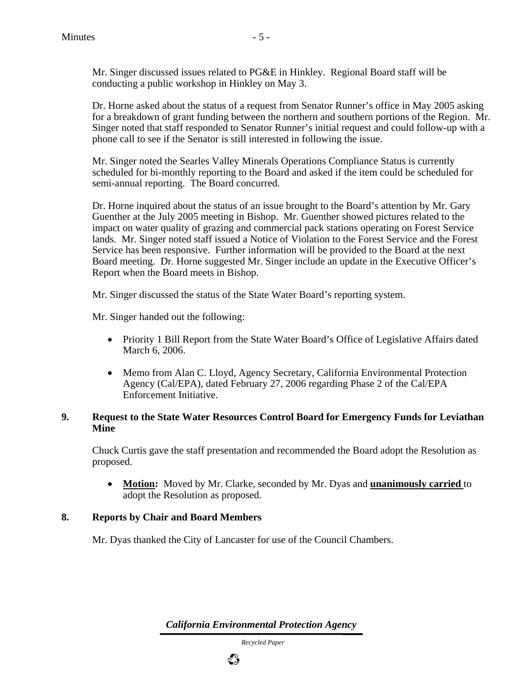Dr. Horne asked about the status of a request from Senator Runner's office in May 2005 asking for a breakdown of grant funding between the northern and southern portions of the Region. Mr. Singer noted that staff responded to Senator Runner's initial request and could follow-up with a phone call to see if the Senator is still interested in following the issue.

Mr. Singer noted the Searles Valley Minerals Operations Compliance Status is currently scheduled for bi-monthly reporting to the Board and asked if the item could be scheduled for semi-annual reporting. The Board concurred.

Dr. Horne inquired about the status of an issue brought to the Board's attention by Mr. Gary Guenther at the July 2005 meeting in Bishop. Mr. Guenther showed pictures related to the impact on water quality of grazing and commercial pack stations operating on Forest Service lands. Mr. Singer noted staff issued a Notice of Violation to the Forest Service and the Forest Service has been responsive. Further information will be provided to the Board at the next Board meeting. Dr. Horne suggested Mr. Singer include an update in the Executive Officer's Report when the Board meets in Bishop.

Mr. Singer discussed the status of the State Water Board's reporting system.

Mr. Singer handed out the following:

- Priority 1 Bill Report from the State Water Board's Office of Legislative Affairs dated March 6, 2006.
- Memo from Alan C. Lloyd, Agency Secretary, California Environmental Protection Agency (Cal/EPA), dated February 27, 2006 regarding Phase 2 of the Cal/EPA Enforcement Initiative.

#### **9. Request to the State Water Resources Control Board for Emergency Funds for Leviathan Mine**

Chuck Curtis gave the staff presentation and recommended the Board adopt the Resolution as proposed.

• **Motion:** Moved by Mr. Clarke, seconded by Mr. Dyas and **unanimously carried** to adopt the Resolution as proposed.

#### **8. Reports by Chair and Board Members**

Mr. Dyas thanked the City of Lancaster for use of the Council Chambers.

*California Environmental Protection Agency*

 *Recycled Paper*

ಭಿ